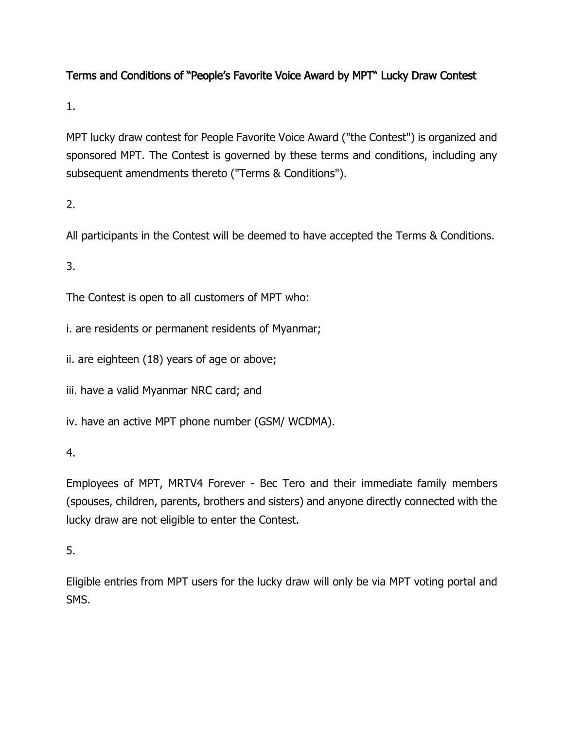# Terms and Conditions of "People's Favorite Voice Award by MPT" Lucky Draw Contest

1.

MPT lucky draw contest for People Favorite Voice Award ("the Contest") is organized and sponsored MPT. The Contest is governed by these terms and conditions, including any subsequent amendments thereto ("Terms & Conditions").

2.

All participants in the Contest will be deemed to have accepted the Terms & Conditions.

3.

The Contest is open to all customers of MPT who:

i. are residents or permanent residents of Myanmar;

ii. are eighteen (18) years of age or above;

iii. have a valid Myanmar NRC card; and

iv. have an active MPT phone number (GSM/ WCDMA).

4.

Employees of MPT, MRTV4 Forever - Bec Tero and their immediate family members (spouses, children, parents, brothers and sisters) and anyone directly connected with the lucky draw are not eligible to enter the Contest.

5.

Eligible entries from MPT users for the lucky draw will only be via MPT voting portal and SMS.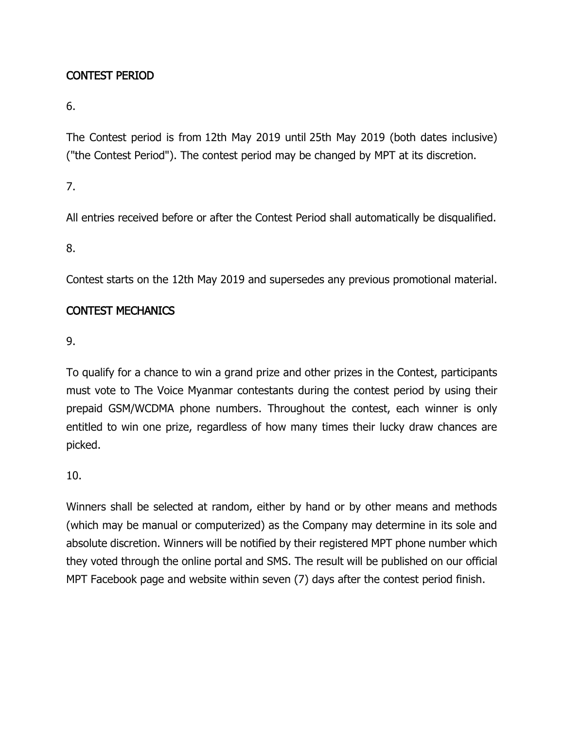## CONTEST PERIOD

6.

The Contest period is from 12th May 2019 until 25th May 2019 (both dates inclusive) ("the Contest Period"). The contest period may be changed by MPT at its discretion.

7.

All entries received before or after the Contest Period shall automatically be disqualified.

8.

Contest starts on the 12th May 2019 and supersedes any previous promotional material.

### CONTEST MECHANICS

9.

To qualify for a chance to win a grand prize and other prizes in the Contest, participants must vote to The Voice Myanmar contestants during the contest period by using their prepaid GSM/WCDMA phone numbers. Throughout the contest, each winner is only entitled to win one prize, regardless of how many times their lucky draw chances are picked.

10.

Winners shall be selected at random, either by hand or by other means and methods (which may be manual or computerized) as the Company may determine in its sole and absolute discretion. Winners will be notified by their registered MPT phone number which they voted through the online portal and SMS. The result will be published on our official MPT Facebook page and website within seven (7) days after the contest period finish.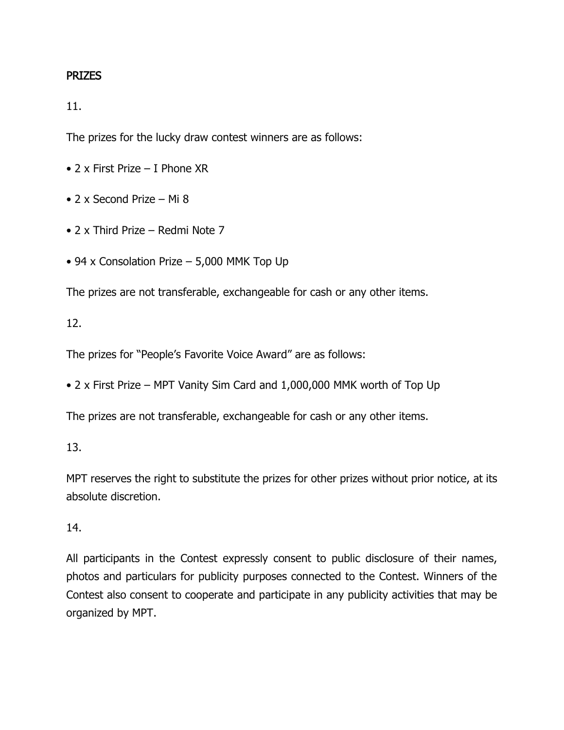#### PRIZES

11.

The prizes for the lucky draw contest winners are as follows:

- 2 x First Prize I Phone XR
- 2 x Second Prize Mi 8
- 2 x Third Prize Redmi Note 7
- 94 x Consolation Prize 5,000 MMK Top Up

The prizes are not transferable, exchangeable for cash or any other items.

#### 12.

The prizes for "People's Favorite Voice Award" are as follows:

• 2 x First Prize – MPT Vanity Sim Card and 1,000,000 MMK worth of Top Up

The prizes are not transferable, exchangeable for cash or any other items.

### 13.

MPT reserves the right to substitute the prizes for other prizes without prior notice, at its absolute discretion.

#### 14.

All participants in the Contest expressly consent to public disclosure of their names, photos and particulars for publicity purposes connected to the Contest. Winners of the Contest also consent to cooperate and participate in any publicity activities that may be organized by MPT.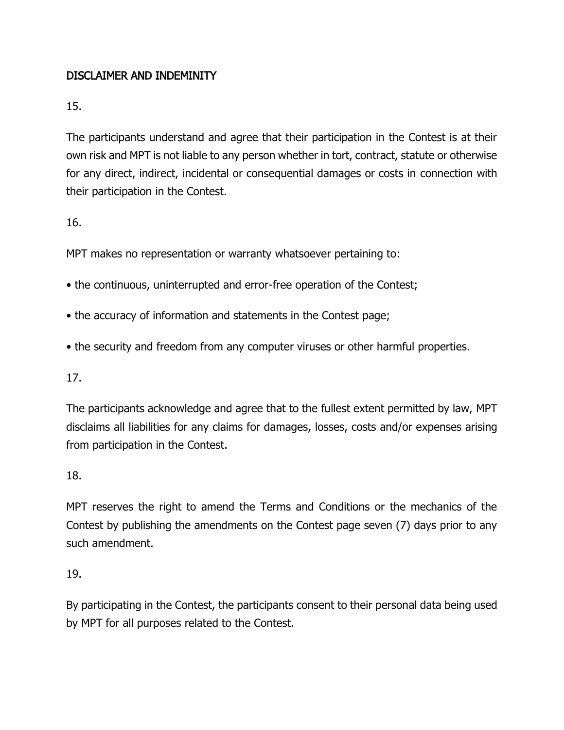## DISCLAIMER AND INDEMINITY

15.

The participants understand and agree that their participation in the Contest is at their own risk and MPT is not liable to any person whether in tort, contract, statute or otherwise for any direct, indirect, incidental or consequential damages or costs in connection with their participation in the Contest.

16.

MPT makes no representation or warranty whatsoever pertaining to:

- the continuous, uninterrupted and error-free operation of the Contest;
- the accuracy of information and statements in the Contest page;
- the security and freedom from any computer viruses or other harmful properties.

17.

The participants acknowledge and agree that to the fullest extent permitted by law, MPT disclaims all liabilities for any claims for damages, losses, costs and/or expenses arising from participation in the Contest.

18.

MPT reserves the right to amend the Terms and Conditions or the mechanics of the Contest by publishing the amendments on the Contest page seven (7) days prior to any such amendment.

19.

By participating in the Contest, the participants consent to their personal data being used by MPT for all purposes related to the Contest.